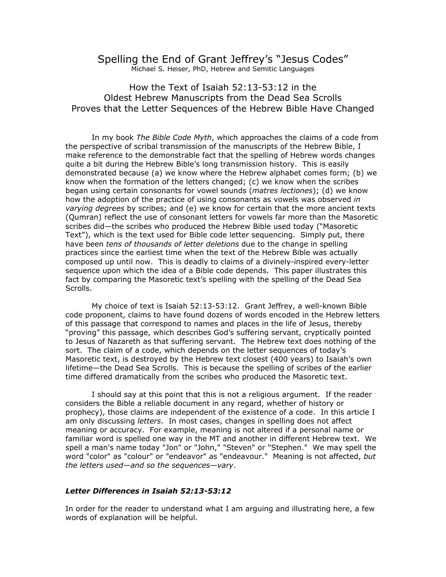## Spelling the End of Grant Jeffrey's "Jesus Codes" Michael S. Heiser, PhD, Hebrew and Semitic Languages

How the Text of Isaiah 52:13-53:12 in the Oldest Hebrew Manuscripts from the Dead Sea Scrolls Proves that the Letter Sequences of the Hebrew Bible Have Changed

In my book *The Bible Code Myth*, which approaches the claims of a code from the perspective of scribal transmission of the manuscripts of the Hebrew Bible, I make reference to the demonstrable fact that the spelling of Hebrew words changes quite a bit during the Hebrew Bible's long transmission history. This is easily demonstrated because (a) we know where the Hebrew alphabet comes form; (b) we know when the formation of the letters changed; (c) we know when the scribes began using certain consonants for vowel sounds (*matres lectiones*); (d) we know how the adoption of the practice of using consonants as vowels was observed *in varying degrees* by scribes; and (e) we know for certain that the more ancient texts (Qumran) reflect the use of consonant letters for vowels far more than the Masoretic scribes did—the scribes who produced the Hebrew Bible used today ("Masoretic Text"), which is the text used for Bible code letter sequencing. Simply put, there have been *tens of thousands of letter deletions* due to the change in spelling practices since the earliest time when the text of the Hebrew Bible was actually composed up until now. This is deadly to claims of a divinely-inspired every-letter sequence upon which the idea of a Bible code depends. This paper illustrates this fact by comparing the Masoretic text's spelling with the spelling of the Dead Sea Scrolls.

My choice of text is Isaiah 52:13-53:12. Grant Jeffrey, a well-known Bible code proponent, claims to have found dozens of words encoded in the Hebrew letters of this passage that correspond to names and places in the life of Jesus, thereby "proving" this passage, which describes God's suffering servant, cryptically pointed to Jesus of Nazareth as that suffering servant. The Hebrew text does nothing of the sort. The claim of a code, which depends on the letter sequences of today's Masoretic text, is destroyed by the Hebrew text closest (400 years) to Isaiah's own lifetime—the Dead Sea Scrolls. This is because the spelling of scribes of the earlier time differed dramatically from the scribes who produced the Masoretic text.

I should say at this point that this is not a religious argument. If the reader considers the Bible a reliable document in any regard, whether of history or prophecy), those claims are independent of the existence of a code. In this article I am only discussing *letters*. In most cases, changes in spelling does not affect meaning or accuracy. For example, meaning is not altered if a personal name or familiar word is spelled one way in the MT and another in different Hebrew text. We spell a man's name today "Jon" or "John," "Steven" or "Stephen." We may spell the word "color" as "colour" or "endeavor" as "endeavour." Meaning is not affected, *but the letters used—and so the sequences—vary*.

### *Letter Differences in Isaiah 52:13-53:12*

In order for the reader to understand what I am arguing and illustrating here, a few words of explanation will be helpful.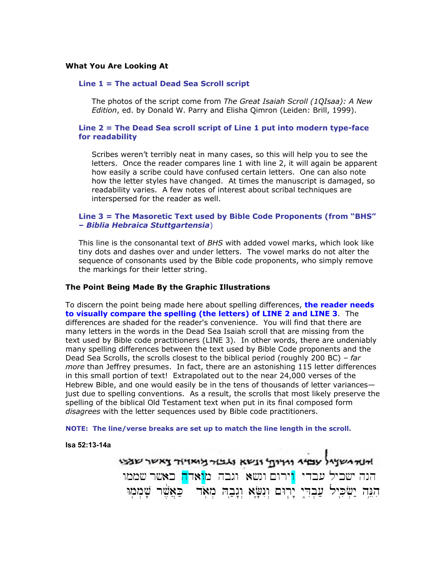#### **What You Are Looking At**

## **Line 1 = The actual Dead Sea Scroll script**

The photos of the script come from *The Great Isaiah Scroll (1QIsaa): A New Edition*, ed. by Donald W. Parry and Elisha Qimron (Leiden: Brill, 1999).

## **Line 2 = The Dead Sea scroll script of Line 1 put into modern type-face for readability**

Scribes weren't terribly neat in many cases, so this will help you to see the letters. Once the reader compares line 1 with line 2, it will again be apparent how easily a scribe could have confused certain letters. One can also note how the letter styles have changed. At times the manuscript is damaged, so readability varies. A few notes of interest about scribal techniques are interspersed for the reader as well.

## **Line 3 = The Masoretic Text used by Bible Code Proponents (from "BHS" –** *Biblia Hebraica Stuttgartensia*)

This line is the consonantal text of *BHS* with added vowel marks, which look like tiny dots and dashes over and under letters. The vowel marks do not alter the sequence of consonants used by the Bible code proponents, who simply remove the markings for their letter string.

#### **The Point Being Made By the Graphic Illustrations**

To discern the point being made here about spelling differences, **the reader needs to visually compare the spelling (the letters) of LINE 2 and LINE 3**. The differences are shaded for the reader's convenience. You will find that there are many letters in the words in the Dead Sea Isaiah scroll that are missing from the text used by Bible code practitioners (LINE 3). In other words, there are undeniably many spelling differences between the text used by Bible Code proponents and the Dead Sea Scrolls, the scrolls closest to the biblical period (roughly 200 BC) – *far more* than Jeffrey presumes. In fact, there are an astonishing 115 letter differences in this small portion of text! Extrapolated out to the near 24,000 verses of the Hebrew Bible, and one would easily be in the tens of thousands of letter variances just due to spelling conventions. As a result, the scrolls that most likely preserve the spelling of the biblical Old Testament text when put in its final composed form *disagrees* with the letter sequences used by Bible code practitioners.

**NOTE: The line/verse breaks are set up to match the line length in the scroll.** 

#### **Isa 52:13-14a**

אוא אשאל עמי וויית ונשא ואבור אייור צאשר שמי הנה ישכיל עבדי <mark>ו</mark>ירום ונשא וגבה מ<mark>ואדה</mark> כאשר שממו הִגָּה יַשְׂכִּיל עַבְדִי יָרָים וְנִשָּׂא וְנָבַה מִאֹד | כַּאֲשֵׁר שָׁמִמְוּ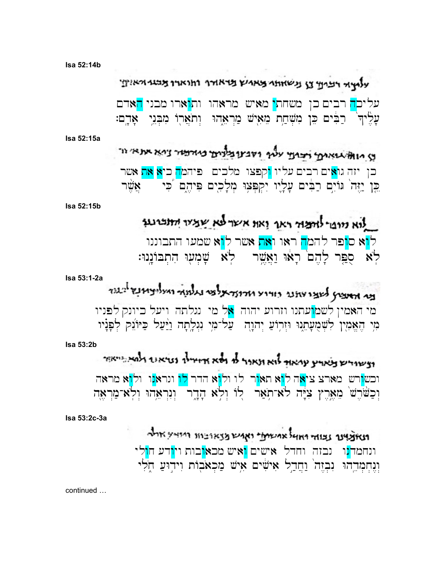Isa 52:14b

עלאיד רבים נישוחת מאמץ מראדר וחוארו מבני ואין

עליכ<mark>ה</mark> רבים כן משחת<mark>י</mark> מאיש מראהו ות<mark>ו</mark>ארו מבני <mark>ה</mark>אדם עָלֵיך ׁ רַבִּים כֵּן מִשְׁחַת מֵאִישׁ מַרְאֵהוּ וְתֹאֲרָוֹ מִבְּנֵי אָדֶם:

Isa 52:15a

ע מואל אואינן יבוע עליף ודבעובלוים כיורמיר ניא את אי כן יזה גו<mark>א</mark>ים רבים עליו <mark>ו</mark>קפצו מלכים - פיהמ<mark>ה</mark> כי**א את** אשר כֵּן יַזֶּה ׁ גּוֹיִם רַבִּים עַלָיו יִקִפְּצְוּ מִלָכִים פִּיהֶם כִּי – אֲשֶׁר

Isa 52:15b

Isa 53:1-2a

לוא מופי לותמר ראו ואו אשר לא שמיר החברנו ל<mark>ו</mark>א ס<mark>ופר להמה ראו ואת</mark> אשר ל<mark>ו</mark>א שמעו התבוננו לא ספר להם ראו ואשר לא שמעו התבוננו:

בי האציץ לשצו צתנו כודו ארוצראלפי נגלמה ואליציונץ לבעד מי האמין לשמ<mark>ו</mark>עתנו וזרוע יהוה <mark>א</mark>ל מי נגלתה ויעל ביונק לפניו מִי הֶאֱמִין לִשְׁמֻעָּתֵגוּ וּזִרְוֹעַ יִהוָה עַל־מִי נִגְלֵתָה <u>ווֹ</u>ּעַל כַּיּוֹנֵק לְפַנַיו

Isa 53:2b

וצשוריש צאויץ עמאור לוא ונאנר לו ולא אדודילו נטיאונד ולמאביאור וכש<mark>ו</mark>רש מארצ צי<mark>א</mark>ה ל<mark>ו</mark>א תא<mark>ו</mark>ר לו ול<mark>ו</mark>א הדר <mark>לו</mark> ונראנו ולוא מראה וְכַשֹּׁרֵשׁ מֵאֲרֵץ צִיָּה לֹא־תְאַר לִוֹ וְלִא הָדֶר וְנִרְאֵהוּ וְלִא־מַרְאֵה

Isa 53:2c-3a

ונאצאינר נבודר החול אתמיתי ואתם מצאובות היואץ אולר ונחמד<mark>נ</mark>ו נבזה וחדל אישים <mark>ו</mark>איש מכא<mark>ו</mark>בות וי<mark>ו</mark>דע ח<mark>ו</mark>לי וְנֵחְמְדֶהוּ נִבְזֶה וַחֲדָל אִישִׁים אִישׁ מַכְאֹבְוֹת וְיִדְוּעַ חָלִי

continued ...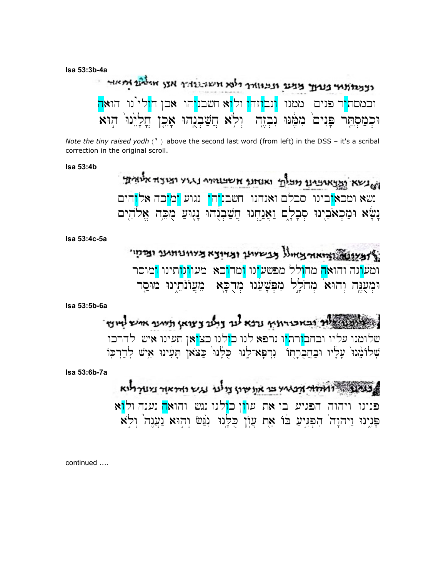Isa 53:3b-4a

|  |  | רצעות אות בעוד מעם ונעוודר ולמ חשונות אנן אליו הואר                                                                                                                           |  |  |  |
|--|--|-------------------------------------------------------------------------------------------------------------------------------------------------------------------------------|--|--|--|
|  |  | וכמסת <mark>י</mark> ר פנים  ממנו <mark>ונבו</mark> זה <mark>ו</mark> ול <mark>ו</mark> א חשבנ <mark>ו</mark> הו  אכן ח <mark>ו</mark> לי <sup>י</sup> נו  הוא <mark>ה</mark> |  |  |  |
|  |  | וּכְמַסְתֶּר פְּנִים מִמֶּנּוּ נִבְזֶה יִלְא חֲשַׁבְנֻהוּ אָכֶן חֲלְיִנוּ הַוּא                                                                                               |  |  |  |

Note the tiny raised yodh  $(')$  above the second last word (from left) in the DSS - it's a scribal correction in the original scroll.

**Isa 53:4b** 

ושלשא המאימינו מכלתי ואנחנו אשנוחים נגוע ומוצה אלוחת נשא ומכא<mark>ו</mark>בינו סבלם ואנחנו חשבנ<mark>והי</mark> נגוע <mark>ומו</mark>כה אל<mark>ו</mark>הים נַשָּׂא וּמַכְאֹבֵינוּ סִבָלָם וַאֲנַחִנוּ חֲשַׁבִנְהוּ נָגֵוּעַ מִכֵּה אֱלֹהִים

Isa 53:4c-5a

אצעונותו ואיאורצאיול בבשלאן ובדינא ביוונותנו ומקו ומע<mark>ו</mark>נה והוא<mark>ה</mark> מח<mark>ו</mark>לל מפשע<mark>ינו ומדוכא מעוונותינו ו</mark>מוסר וּמִעָּגֶה וְהוּא מִחֹלֵל מִפְשָׁעֵנוּ מִדְכַּא ְמַעֲוֹנֹתִינוּ מוּסר

Isa 53:5b-6a

במינו אליך ובאכורואי נרא לנד צלואן ומית איש לי שלומנו עליו ובחב<mark>ו</mark>רת<mark>י</mark>ו נרפא לנו כולנו כצ<mark>ו</mark>אן תעינו איש לדרכו שְׁלוֹמֵנוּ עַלֵּיוּ וּבַחֲבְרַתוֹ ۚ נִרְפַּא־לֵנוּ כִּלְּנוּ כַּצִּאן תַּעִינוּ אֵישׁ לְדַרְכִּוֹ

Isa 53:6b-7a

משור האחרות מאי בר את שירן צו על עש רודיאר ביער לוא פנינו ויהוה הפגיע בו את עו<mark>ו</mark>ן כ<mark>ו</mark>לנו נגש והואה נענה ול<mark>ו</mark>א פַּנִינוּ וַיִּהוַה הִפְגִּיעַ בֹּוֹ אֶת עֲוֹן כִּלַּנוּ נְגַּשׂ וְהִוּא נַעֲנָה וְלָא

continued ....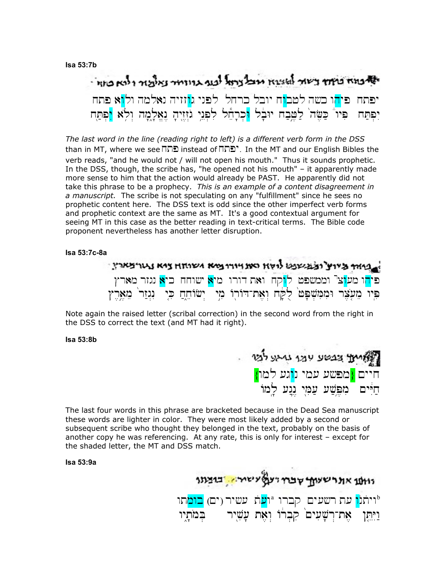### **Isa 53:7b**

# יה נוח ביחד בשור למצוא מצל נרטל לנוף גדודריר נאלמת ולנא ביוח יפתח פי<mark>ה</mark>ו כשה למב<mark>ו</mark>ח יובל כרחל לפני ג<mark>ו</mark>זזיה נאלמה ול<mark>ו</mark>א פתח יפתח. פיו<sup>"</sup> כַּשָּׂה<sup>י</sup> לַטֵּבֵה יוּבַל <mark>ו</mark>כִרַהֵל לִפְני גֹזזיה נאָלַמַה ול<sup>ֹ</sup>א וֹפִתַּח

*The last word in the line (reading right to left) is a different verb form in the DSS* than in MT, where we see xtp instead of xtpy. In the MT and our English Bibles the verb reads, "and he would not / will not open his mouth." Thus it sounds prophetic. In the DSS, though, the scribe has, "he opened not his mouth" – it apparently made more sense to him that the action would already be PAST. He apparently did not take this phrase to be a prophecy. *This is an example of a content disagreement in a manuscript.* The scribe is not speculating on any "fulfillment" since he sees no prophetic content here. The DSS text is odd since the other imperfect verb forms and prophetic context are the same as MT. It's a good contextual argument for seeing MT in this case as the better reading in text-critical terms. The Bible code proponent nevertheless has another letter disruption.

**Isa 53:7c-8a** 

|  |  |  | איות ביוע ובענשעל לואו האוויורופיא ושוחו ציא נגורצארין                                                                  |
|--|--|--|-------------------------------------------------------------------------------------------------------------------------|
|  |  |  | פי <mark>ה</mark> ו מע <mark>ו</mark> צ <sup>ר</sup> וממשפט ל <mark>ו</mark> קח ואת דורו מיא שוחח כי <b>א</b> נגזר מארץ |
|  |  |  | פִּיוּ מֵעֲצֶר וּמִמִּשְׁפָּט לָקָה וְאֶת־דוֹרְוֹ מִיַ יְשׂוֹחֵהֲ כִּיָ נִגְזַר מֵאֶרֶץ                                 |

Note again the raised letter (scribal correction) in the second word from the right in the DSS to correct the text (and MT had it right).

**Isa 53:8b** 



The last four words in this phrase are bracketed because in the Dead Sea manuscript these words are lighter in color. They were most likely added by a second or subsequent scribe who thought they belonged in the text, probably on the basis of another copy he was referencing. At any rate, this is only for interest – except for the shaded letter, the MT and DSS match.

**Isa 53:9a** 

נוועו אונרשעות שבח ועל עישור בוצונ יותל<mark>ו</mark> עת רשעים קברו <sup>n</sup>ו<mark>ע</mark>ת עשיר (ים) <mark>בומ</mark>תו וַיִּתֵן אֵת־רִשָׁעִים קִבְרוֹ וְאֵת עָשִׁיר<br>-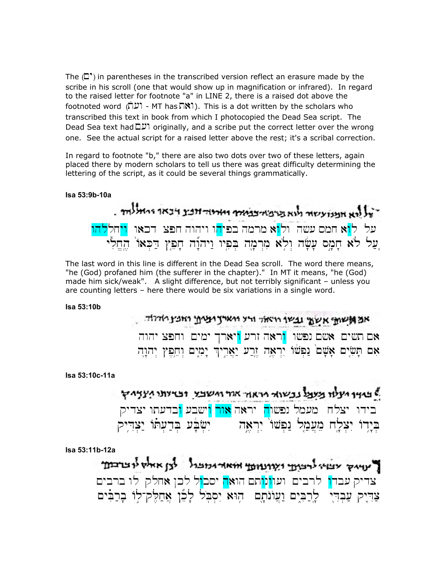The  $\left(\Box^{\bullet}\right)$  in parentheses in the transcribed version reflect an erasure made by the scribe in his scroll (one that would show up in magnification or infrared). In regard to the raised letter for footnote "a" in LINE 2, there is a raised dot above the  $\mathsf{footnoted}$  word  $(\mathsf{U})$  - MT has  $\mathsf{N}$ . This is a dot written by the scholars who transcribed this text in book from which I photocopied the Dead Sea script. The Dead Sea text had  $\Box$ ס originally, and a scribe put the correct letter over the wrong one. See the actual script for a raised letter above the rest; it's a scribal correction.

In regard to footnote "b," there are also two dots over two of these letters, again placed there by modern scholars to tell us there was great difficulty determining the lettering of the script, as it could be several things grammatically.

#### **Isa 53:9b-10a**

־על הא אמנועשור מוא מרפיאיבואיר וארוה אבי ויבאו ומאלוחי. על ל<mark>ו</mark>א חמס עשה ול<mark>ו</mark>א מרמה בפי<mark>ה</mark>ו ויהוה חפצ דכאו ויחללהו yliêx/h,( 'AaK.D; #peÛx' hw"ùhyw:wypi(B. hm'Þr>mi al{ïw> hf'ê[' sm'äx' al{ l[;…

The last word in this line is different in the Dead Sea scroll. The word there means, "he (God) profaned him (the sufferer in the chapter)." In MT it means, "he (God) made him sick/weak". A slight difference, but not terribly significant – unless you are counting letters – here there would be six variations in a single word.

#### **Isa 53:10b**

אמאמי אשע שבשו וואלד ורא וארץ ועין וחנין ואלד אם תשים אשם נפשו <mark>ו</mark>ראה זרע <mark>ו</mark>יארך ימים וחפצ יהוה אם תְּשִׂיִם אָשָׁם נַפְּשׁוֹ יִרְאֶה זֶרֲע יַאֲרִיךְ יָמִים וְחֵפִץ יִהוַה

#### **Isa 53:10c-11a**

ל באיר מעלו מעמל נכשוא מראה אחי חשבי ובדיותי מעץ רץ בידו יצלח מעמל נפשו<mark>ה</mark> יראה <mark>אור ו</mark>ישבע <mark>ו</mark>בדעתו יצדיק בִיַרוֹ יִצְלַח מֵעֲמַל נַפְשׁוֹ יִרְאָה <sub>ו</sub> יִשְׂבַּע בִּדְעָתוֹ יַצְדִיק

**Isa 53:11b-12a** 

ל עדיק צעי לרבות ומונחת אואר ומבול לבן אאל לצדבת צדיק עבד<mark>ו</mark> לרבים ועו<mark>ונו</mark>תם הואה יסב<mark>ו</mark>ל לכן אחלק לו ברבים צְדִיק עֲבְדִי, לַרְבִּים וַעֲוֹנֹתַם הוּא<sup>ַ</sup>יִסְבֹּל לַכֶּן אַחֲלֶק־לוֹ בְרַבִּים